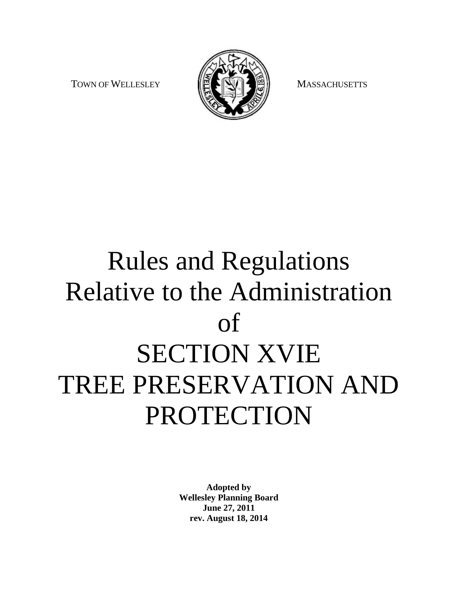TOWN OF WELLESLEY **TOWN OF WELLESLEY MASSACHUSETTS** 



# Rules and Regulations Relative to the Administration of SECTION XVIE TREE PRESERVATION AND PROTECTION

**Adopted by Wellesley Planning Board June 27, 2011 rev. August 18, 2014**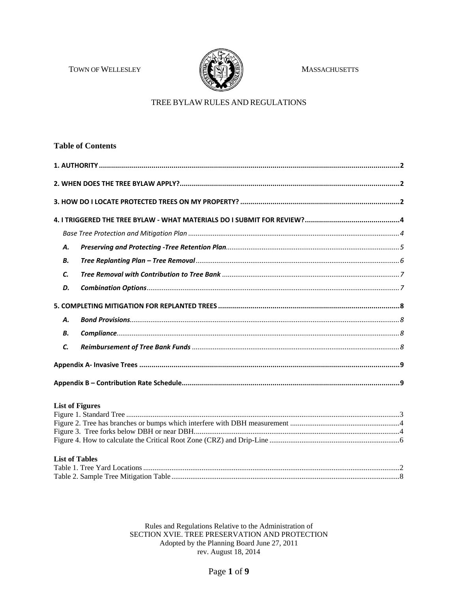TOWN OF WELLESLEY



**MASSACHUSETTS** 

# TREE BYLAW RULES AND REGULATIONS

|                        | <b>Table of Contents</b> |  |
|------------------------|--------------------------|--|
|                        |                          |  |
|                        |                          |  |
|                        |                          |  |
|                        |                          |  |
|                        |                          |  |
| <b>A.</b>              |                          |  |
| В.                     |                          |  |
| C.                     |                          |  |
| D.                     |                          |  |
|                        |                          |  |
| Α.                     |                          |  |
| В.                     |                          |  |
| C.                     |                          |  |
|                        |                          |  |
|                        |                          |  |
| <b>List of Figures</b> |                          |  |

| <b>NAME OF A 15 WHOM</b> |  |
|--------------------------|--|
|                          |  |
|                          |  |
|                          |  |
|                          |  |
|                          |  |
|                          |  |

# **List of Tables**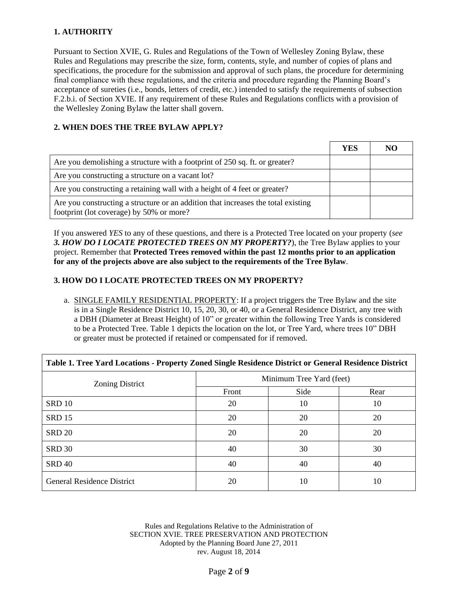# <span id="page-2-0"></span>**1. AUTHORITY**

Pursuant to Section XVIE, G. Rules and Regulations of the Town of Wellesley Zoning Bylaw, these Rules and Regulations may prescribe the size, form, contents, style, and number of copies of plans and specifications, the procedure for the submission and approval of such plans, the procedure for determining final compliance with these regulations, and the criteria and procedure regarding the Planning Board's acceptance of sureties (i.e., bonds, letters of credit, etc.) intended to satisfy the requirements of subsection F.2.b.i. of Section XVIE. If any requirement of these Rules and Regulations conflicts with a provision of the Wellesley Zoning Bylaw the latter shall govern.

# <span id="page-2-1"></span>**2. WHEN DOES THE TREE BYLAW APPLY?**

|                                                                                                                               | YES | NO |
|-------------------------------------------------------------------------------------------------------------------------------|-----|----|
| Are you demolishing a structure with a footprint of 250 sq. ft. or greater?                                                   |     |    |
| Are you constructing a structure on a vacant lot?                                                                             |     |    |
| Are you constructing a retaining wall with a height of 4 feet or greater?                                                     |     |    |
| Are you constructing a structure or an addition that increases the total existing<br>footprint (lot coverage) by 50% or more? |     |    |

If you answered *YES* to any of these questions, and there is a Protected Tree located on your property (*see 3. HOW DO I LOCATE PROTECTED TREES ON MY PROPERTY?*), the Tree Bylaw applies to your project. Remember that **Protected Trees removed within the past 12 months prior to an application for any of the projects above are also subject to the requirements of the Tree Bylaw**.

# <span id="page-2-2"></span>**3. HOW DO I LOCATE PROTECTED TREES ON MY PROPERTY?**

a. SINGLE FAMILY RESIDENTIAL PROPERTY: If a project triggers the Tree Bylaw and the site is in a Single Residence District 10, 15, 20, 30, or 40, or a General Residence District, any tree with a DBH (Diameter at Breast Height) of 10" or greater within the following Tree Yards is considered to be a Protected Tree. Table 1 depicts the location on the lot, or Tree Yard, where trees 10" DBH or greater must be protected if retained or compensated for if removed.

| Table 1. Tree Yard Locations - Property Zoned Single Residence District or General Residence District |                          |      |      |  |
|-------------------------------------------------------------------------------------------------------|--------------------------|------|------|--|
| Zoning District                                                                                       | Minimum Tree Yard (feet) |      |      |  |
|                                                                                                       | Front                    | Side | Rear |  |
| <b>SRD 10</b>                                                                                         | 20                       | 10   | 10   |  |
| <b>SRD 15</b>                                                                                         | 20                       | 20   | 20   |  |
| <b>SRD 20</b>                                                                                         | 20                       | 20   | 20   |  |
| <b>SRD 30</b>                                                                                         | 40                       | 30   | 30   |  |
| <b>SRD 40</b>                                                                                         | 40                       | 40   | 40   |  |
| <b>General Residence District</b>                                                                     | 20                       | 10   | 10   |  |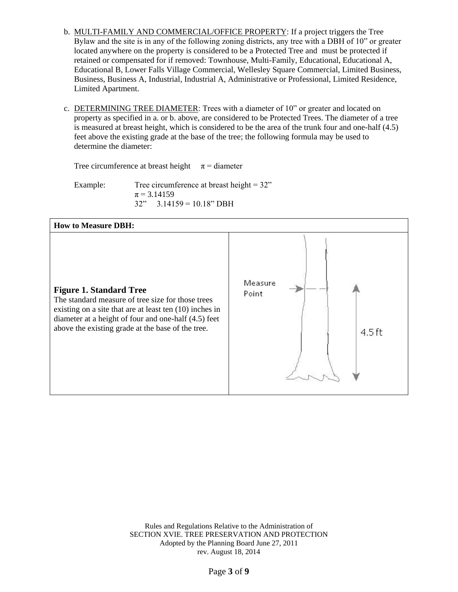- b. MULTI-FAMILY AND COMMERCIAL/OFFICE PROPERTY: If a project triggers the Tree Bylaw and the site is in any of the following zoning districts, any tree with a DBH of 10" or greater located anywhere on the property is considered to be a Protected Tree and must be protected if retained or compensated for if removed: Townhouse, Multi-Family, Educational, Educational A, Educational B, Lower Falls Village Commercial, Wellesley Square Commercial, Limited Business, Business, Business A, Industrial, Industrial A, Administrative or Professional, Limited Residence, Limited Apartment.
- c. DETERMINING TREE DIAMETER: Trees with a diameter of 10" or greater and located on property as specified in a. or b. above, are considered to be Protected Trees. The diameter of a tree is measured at breast height, which is considered to be the area of the trunk four and one-half (4.5) feet above the existing grade at the base of the tree; the following formula may be used to determine the diameter:

Tree circumference at breast height  $\pi$  = diameter

Example: Tree circumference at breast height =  $32$ "  $\pi$  = 3.14159  $32" \quad 3.14159 = 10.18" \text{ DBH}$ 

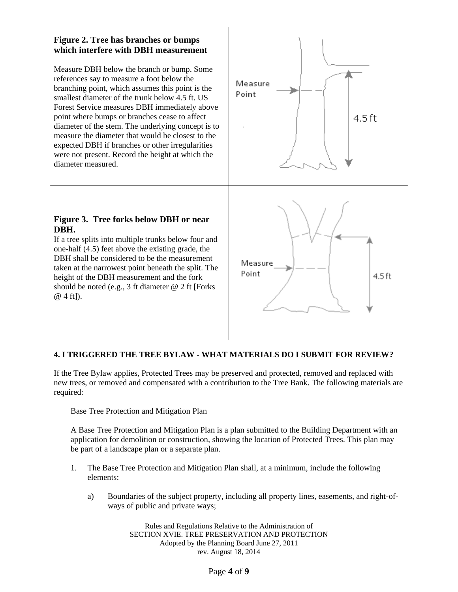# **Figure 2. Tree has branches or bumps which interfere with DBH measurement**

Measure DBH below the branch or bump. Some references say to measure a foot below the branching point, which assumes this point is the smallest diameter of the trunk below 4.5 ft. US Forest Service measures DBH immediately above point where bumps or branches cease to affect diameter of the stem. The underlying concept is to measure the diameter that would be closest to the expected DBH if branches or other irregularities were not present. Record the height at which the diameter measured.

# **Figure 3. Tree forks below DBH or near DBH.**

If a tree splits into multiple trunks below four and one-half (4.5) feet above the existing grade, the DBH shall be considered to be the measurement taken at the narrowest point beneath the split. The height of the DBH measurement and the fork should be noted (e.g., 3 ft diameter @ 2 ft [Forks @ 4 ft]).



# <span id="page-4-0"></span>**4. I TRIGGERED THE TREE BYLAW - WHAT MATERIALS DO I SUBMIT FOR REVIEW?**

If the Tree Bylaw applies, Protected Trees may be preserved and protected, removed and replaced with new trees, or removed and compensated with a contribution to the Tree Bank. The following materials are required:

# <span id="page-4-1"></span>Base Tree Protection and Mitigation Plan

A Base Tree Protection and Mitigation Plan is a plan submitted to the Building Department with an application for demolition or construction, showing the location of Protected Trees. This plan may be part of a landscape plan or a separate plan.

- 1. The Base Tree Protection and Mitigation Plan shall, at a minimum, include the following elements:
	- a) Boundaries of the subject property, including all property lines, easements, and right-ofways of public and private ways;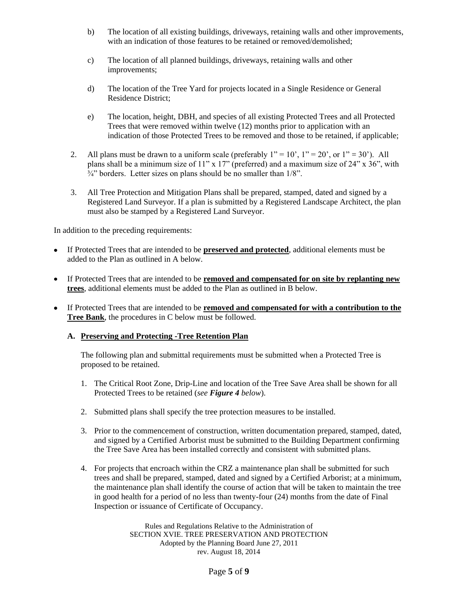- b) The location of all existing buildings, driveways, retaining walls and other improvements, with an indication of those features to be retained or removed/demolished;
- c) The location of all planned buildings, driveways, retaining walls and other improvements;
- d) The location of the Tree Yard for projects located in a Single Residence or General Residence District;
- e) The location, height, DBH, and species of all existing Protected Trees and all Protected Trees that were removed within twelve (12) months prior to application with an indication of those Protected Trees to be removed and those to be retained, if applicable;
- 2. All plans must be drawn to a uniform scale (preferably  $1" = 10'$ ,  $1" = 20'$ , or  $1" = 30'$ ). All plans shall be a minimum size of 11" x 17" (preferred) and a maximum size of 24" x 36", with  $\frac{3}{4}$ " borders. Letter sizes on plans should be no smaller than  $1/8$ ".
- 3. All Tree Protection and Mitigation Plans shall be prepared, stamped, dated and signed by a Registered Land Surveyor. If a plan is submitted by a Registered Landscape Architect, the plan must also be stamped by a Registered Land Surveyor.

In addition to the preceding requirements:

- $\bullet$ If Protected Trees that are intended to be **preserved and protected**, additional elements must be added to the Plan as outlined in A below.
- If Protected Trees that are intended to be **removed and compensated for on site by replanting new trees**, additional elements must be added to the Plan as outlined in B below.
- If Protected Trees that are intended to be **removed and compensated for with a contribution to the Tree Bank**, the procedures in C below must be followed.

#### <span id="page-5-0"></span>**A. Preserving and Protecting -Tree Retention Plan**

The following plan and submittal requirements must be submitted when a Protected Tree is proposed to be retained.

- 1. The Critical Root Zone, Drip-Line and location of the Tree Save Area shall be shown for all Protected Trees to be retained (*see Figure 4 below*).
- 2. Submitted plans shall specify the tree protection measures to be installed.
- 3. Prior to the commencement of construction, written documentation prepared, stamped, dated, and signed by a Certified Arborist must be submitted to the Building Department confirming the Tree Save Area has been installed correctly and consistent with submitted plans.
- 4. For projects that encroach within the CRZ a maintenance plan shall be submitted for such trees and shall be prepared, stamped, dated and signed by a Certified Arborist; at a minimum, the maintenance plan shall identify the course of action that will be taken to maintain the tree in good health for a period of no less than twenty-four (24) months from the date of Final Inspection or issuance of Certificate of Occupancy.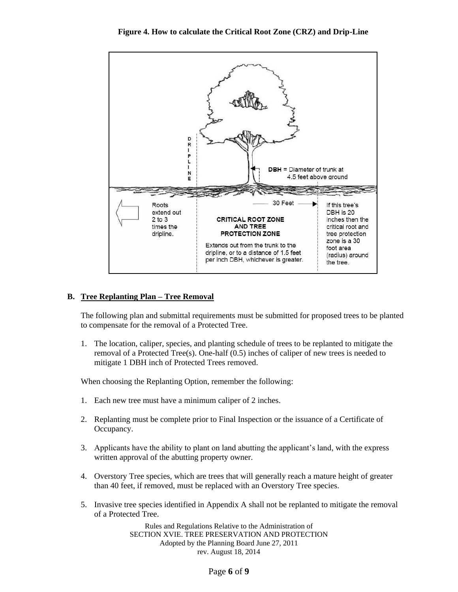

#### <span id="page-6-0"></span>**B. Tree Replanting Plan – Tree Removal**

The following plan and submittal requirements must be submitted for proposed trees to be planted to compensate for the removal of a Protected Tree.

1. The location, caliper, species, and planting schedule of trees to be replanted to mitigate the removal of a Protected Tree(s). One-half (0.5) inches of caliper of new trees is needed to mitigate 1 DBH inch of Protected Trees removed.

When choosing the Replanting Option, remember the following:

- 1. Each new tree must have a minimum caliper of 2 inches.
- 2. Replanting must be complete prior to Final Inspection or the issuance of a Certificate of Occupancy.
- 3. Applicants have the ability to plant on land abutting the applicant's land, with the express written approval of the abutting property owner.
- 4. Overstory Tree species, which are trees that will generally reach a mature height of greater than 40 feet, if removed, must be replaced with an Overstory Tree species.
- 5. Invasive tree species identified in Appendix A shall not be replanted to mitigate the removal of a Protected Tree.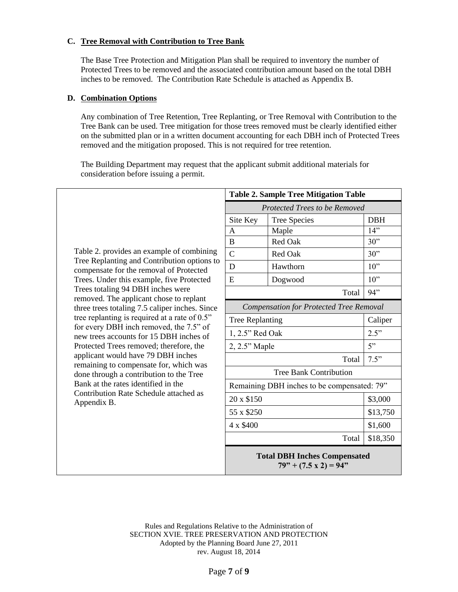## <span id="page-7-0"></span>**C. Tree Removal with Contribution to Tree Bank**

The Base Tree Protection and Mitigation Plan shall be required to inventory the number of Protected Trees to be removed and the associated contribution amount based on the total DBH inches to be removed. The Contribution Rate Schedule is attached as Appendix B.

#### <span id="page-7-1"></span>**D. Combination Options**

Any combination of Tree Retention, Tree Replanting, or Tree Removal with Contribution to the Tree Bank can be used. Tree mitigation for those trees removed must be clearly identified either on the submitted plan or in a written document accounting for each DBH inch of Protected Trees removed and the mitigation proposed. This is not required for tree retention.

The Building Department may request that the applicant submit additional materials for consideration before issuing a permit.

|                                                                                                                         |                                                | <b>Table 2. Sample Tree Mitigation Table</b>                        |            |
|-------------------------------------------------------------------------------------------------------------------------|------------------------------------------------|---------------------------------------------------------------------|------------|
|                                                                                                                         | Protected Trees to be Removed                  |                                                                     |            |
|                                                                                                                         | Site Key                                       | <b>Tree Species</b>                                                 | <b>DBH</b> |
|                                                                                                                         | A                                              | Maple                                                               | 14"        |
|                                                                                                                         | B                                              | Red Oak                                                             | 30"        |
| Table 2. provides an example of combining                                                                               | $\overline{C}$                                 | Red Oak                                                             | 30"        |
| Tree Replanting and Contribution options to<br>compensate for the removal of Protected                                  | D                                              | Hawthorn                                                            | 10"        |
| Trees. Under this example, five Protected                                                                               | E                                              | Dogwood                                                             | 10"        |
| Trees totaling 94 DBH inches were                                                                                       |                                                | Total                                                               | 94"        |
| removed. The applicant chose to replant<br>three trees totaling 7.5 caliper inches. Since                               | <b>Compensation for Protected Tree Removal</b> |                                                                     |            |
| tree replanting is required at a rate of 0.5"                                                                           | <b>Tree Replanting</b>                         |                                                                     | Caliper    |
| for every DBH inch removed, the 7.5" of<br>new trees accounts for 15 DBH inches of                                      | 1, 2.5" Red Oak                                |                                                                     | 2.5"       |
| Protected Trees removed; therefore, the<br>applicant would have 79 DBH inches<br>remaining to compensate for, which was | 2, 2.5" Maple                                  |                                                                     | 5"         |
|                                                                                                                         |                                                | Total                                                               | 7.5"       |
| done through a contribution to the Tree                                                                                 | <b>Tree Bank Contribution</b>                  |                                                                     |            |
| Bank at the rates identified in the                                                                                     | Remaining DBH inches to be compensated: 79"    |                                                                     |            |
| Contribution Rate Schedule attached as<br>Appendix B.                                                                   | 20 x \$150                                     |                                                                     | \$3,000    |
|                                                                                                                         | 55 x \$250                                     |                                                                     | \$13,750   |
|                                                                                                                         | 4 x \$400                                      |                                                                     | \$1,600    |
|                                                                                                                         |                                                | Total                                                               | \$18,350   |
|                                                                                                                         |                                                | <b>Total DBH Inches Compensated</b><br>$79" + (7.5 \times 2) = 94"$ |            |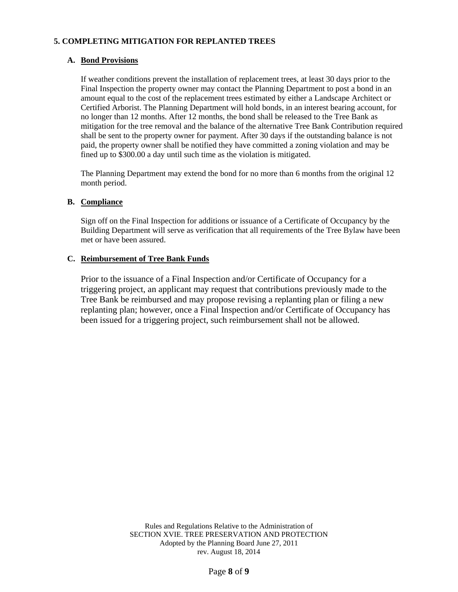# <span id="page-8-0"></span>**5. COMPLETING MITIGATION FOR REPLANTED TREES**

## <span id="page-8-1"></span>**A. Bond Provisions**

If weather conditions prevent the installation of replacement trees, at least 30 days prior to the Final Inspection the property owner may contact the Planning Department to post a bond in an amount equal to the cost of the replacement trees estimated by either a Landscape Architect or Certified Arborist. The Planning Department will hold bonds, in an interest bearing account, for no longer than 12 months. After 12 months, the bond shall be released to the Tree Bank as mitigation for the tree removal and the balance of the alternative Tree Bank Contribution required shall be sent to the property owner for payment. After 30 days if the outstanding balance is not paid, the property owner shall be notified they have committed a zoning violation and may be fined up to \$300.00 a day until such time as the violation is mitigated.

The Planning Department may extend the bond for no more than 6 months from the original 12 month period.

#### <span id="page-8-2"></span>**B. Compliance**

Sign off on the Final Inspection for additions or issuance of a Certificate of Occupancy by the Building Department will serve as verification that all requirements of the Tree Bylaw have been met or have been assured.

#### <span id="page-8-3"></span>**C. Reimbursement of Tree Bank Funds**

Prior to the issuance of a Final Inspection and/or Certificate of Occupancy for a triggering project, an applicant may request that contributions previously made to the Tree Bank be reimbursed and may propose revising a replanting plan or filing a new replanting plan; however, once a Final Inspection and/or Certificate of Occupancy has been issued for a triggering project, such reimbursement shall not be allowed.